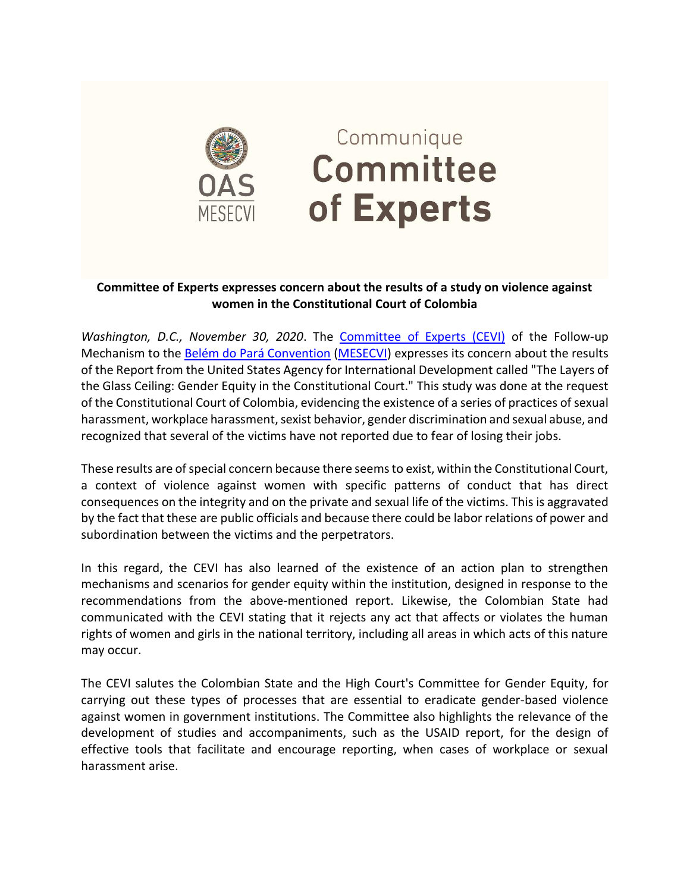

## Communique Committee of Experts

## **Committee of Experts expresses concern about the results of a study on violence against women in the Constitutional Court of Colombia**

*Washington, D.C., November 30, 2020*. The [Committee of Experts \(CEVI\)](http://www.oas.org/en/mesecvi/Experts.asp) of the Follow-up Mechanism to the [Belém do Pará Convention](http://www.oas.org/es/mesecvi/convencion.asp) [\(MESECVI\)](http://www.oas.org/es/mesecvi/nosotros.asp) expresses its concern about the results of the Report from the United States Agency for International Development called "The Layers of the Glass Ceiling: Gender Equity in the Constitutional Court." This study was done at the request of the Constitutional Court of Colombia, evidencing the existence of a series of practices of sexual harassment, workplace harassment, sexist behavior, gender discrimination and sexual abuse, and recognized that several of the victims have not reported due to fear of losing their jobs.

These results are of special concern because there seems to exist, within the Constitutional Court, a context of violence against women with specific patterns of conduct that has direct consequences on the integrity and on the private and sexual life of the victims. This is aggravated by the fact that these are public officials and because there could be labor relations of power and subordination between the victims and the perpetrators.

In this regard, the CEVI has also learned of the existence of an action plan to strengthen mechanisms and scenarios for gender equity within the institution, designed in response to the recommendations from the above-mentioned report. Likewise, the Colombian State had communicated with the CEVI stating that it rejects any act that affects or violates the human rights of women and girls in the national territory, including all areas in which acts of this nature may occur.

The CEVI salutes the Colombian State and the High Court's Committee for Gender Equity, for carrying out these types of processes that are essential to eradicate gender-based violence against women in government institutions. The Committee also highlights the relevance of the development of studies and accompaniments, such as the USAID report, for the design of effective tools that facilitate and encourage reporting, when cases of workplace or sexual harassment arise.